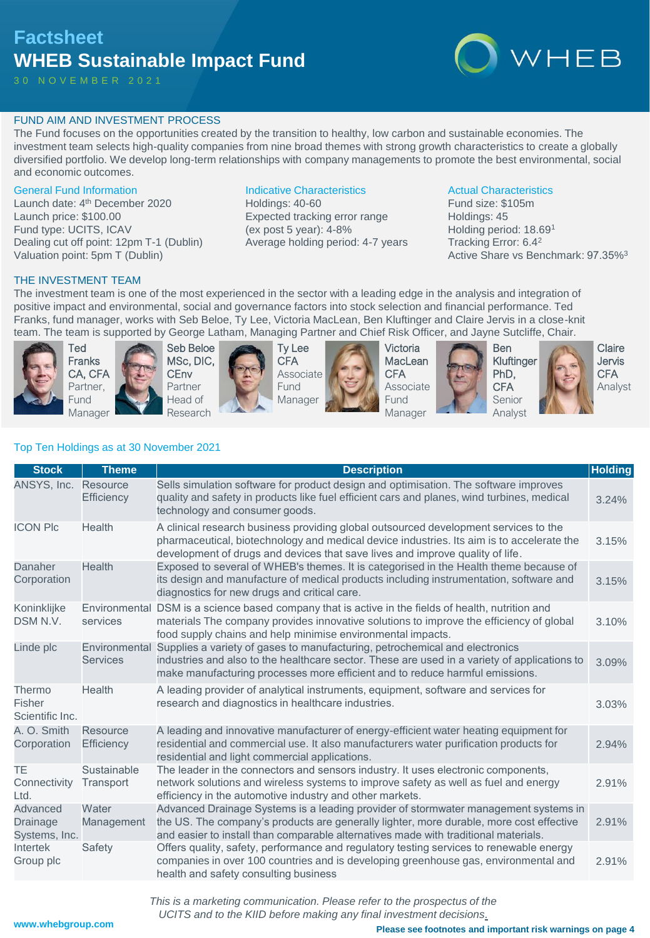# **Factsheet WHEB Sustainable Impact Fund**

3 0 N O V E M B E R 2 0 2 1



# FUND AIM AND INVESTMENT PROCESS

The Fund focuses on the opportunities created by the transition to healthy, low carbon and sustainable economies. The investment team selects high-quality companies from nine broad themes with strong growth characteristics to create a globally diversified portfolio. We develop long-term relationships with company managements to promote the best environmental, social and economic outcomes.

# General Fund Information

Launch date: 4<sup>th</sup> December 2020 Launch price: \$100.00 Fund type: UCITS, ICAV Dealing cut off point: 12pm T-1 (Dublin) Valuation point: 5pm T (Dublin)

# Indicative Characteristics

Holdings: 40-60 Expected tracking error range (ex post 5 year): 4-8% Average holding period: 4-7 years

# Actual Characteristics

Fund size: \$105m Holdings: 45 Holding period: 18.69<sup>1</sup> Tracking Error: 6.4<sup>2</sup> Active Share vs Benchmark: 97.35%<sup>3</sup>

# THE INVESTMENT TEAM

The investment team is one of the most experienced in the sector with a leading edge in the analysis and integration of positive impact and environmental, social and governance factors into stock selection and financial performance. Ted Franks, fund manager, works with Seb Beloe, Ty Lee, Victoria MacLean, Ben Kluftinger and Claire Jervis in a close-knit team. The team is supported by George Latham, Managing Partner and Chief Risk Officer, and Jayne Sutcliffe, Chair.



Ted Franks CA, CFA Partner, Fund Manager



Seb Beloe MSc, DIC, **CEnv** Partner Head of Research

Ty Lee **CFA** Associate Fund Manager



Victoria **MacLean CFA** Associate Fund Manager



Ben PhD, **CFA** 



Claire Jervis **CFA** Analyst

# Top Ten Holdings as at 30 November 2021

| <b>Stock</b>                          | <b>Theme</b>                     | <b>Description</b>                                                                                                                                                                                                                                                    | <b>Holding</b> |
|---------------------------------------|----------------------------------|-----------------------------------------------------------------------------------------------------------------------------------------------------------------------------------------------------------------------------------------------------------------------|----------------|
| ANSYS, Inc.                           | Resource<br>Efficiency           | Sells simulation software for product design and optimisation. The software improves<br>quality and safety in products like fuel efficient cars and planes, wind turbines, medical<br>technology and consumer goods.                                                  | 3.24%          |
| <b>ICON PIc</b>                       | Health                           | A clinical research business providing global outsourced development services to the<br>pharmaceutical, biotechnology and medical device industries. Its aim is to accelerate the<br>development of drugs and devices that save lives and improve quality of life.    | 3.15%          |
| Danaher<br>Corporation                | <b>Health</b>                    | Exposed to several of WHEB's themes. It is categorised in the Health theme because of<br>its design and manufacture of medical products including instrumentation, software and<br>diagnostics for new drugs and critical care.                                       | 3.15%          |
| Koninklijke<br>DSM N.V.               | Environmental<br>services        | DSM is a science based company that is active in the fields of health, nutrition and<br>materials The company provides innovative solutions to improve the efficiency of global<br>food supply chains and help minimise environmental impacts.                        | 3.10%          |
| Linde plc                             | Environmental<br><b>Services</b> | Supplies a variety of gases to manufacturing, petrochemical and electronics<br>industries and also to the healthcare sector. These are used in a variety of applications to<br>make manufacturing processes more efficient and to reduce harmful emissions.           | 3.09%          |
| Thermo<br>Fisher<br>Scientific Inc.   | Health                           | A leading provider of analytical instruments, equipment, software and services for<br>research and diagnostics in healthcare industries.                                                                                                                              | 3.03%          |
| A. O. Smith<br>Corporation            | Resource<br><b>Efficiency</b>    | A leading and innovative manufacturer of energy-efficient water heating equipment for<br>residential and commercial use. It also manufacturers water purification products for<br>residential and light commercial applications.                                      | 2.94%          |
| TE<br>Connectivity<br>Ltd.            | Sustainable<br>Transport         | The leader in the connectors and sensors industry. It uses electronic components,<br>network solutions and wireless systems to improve safety as well as fuel and energy<br>efficiency in the automotive industry and other markets.                                  | 2.91%          |
| Advanced<br>Drainage<br>Systems, Inc. | Water<br>Management              | Advanced Drainage Systems is a leading provider of stormwater management systems in<br>the US. The company's products are generally lighter, more durable, more cost effective<br>and easier to install than comparable alternatives made with traditional materials. | 2.91%          |
| Intertek<br>Group plc                 | Safety                           | Offers quality, safety, performance and regulatory testing services to renewable energy<br>companies in over 100 countries and is developing greenhouse gas, environmental and<br>health and safety consulting business                                               | 2.91%          |

*This is a marketing communication. Please refer to the prospectus of the UCITS and to the KIID before making any final investment decisions.*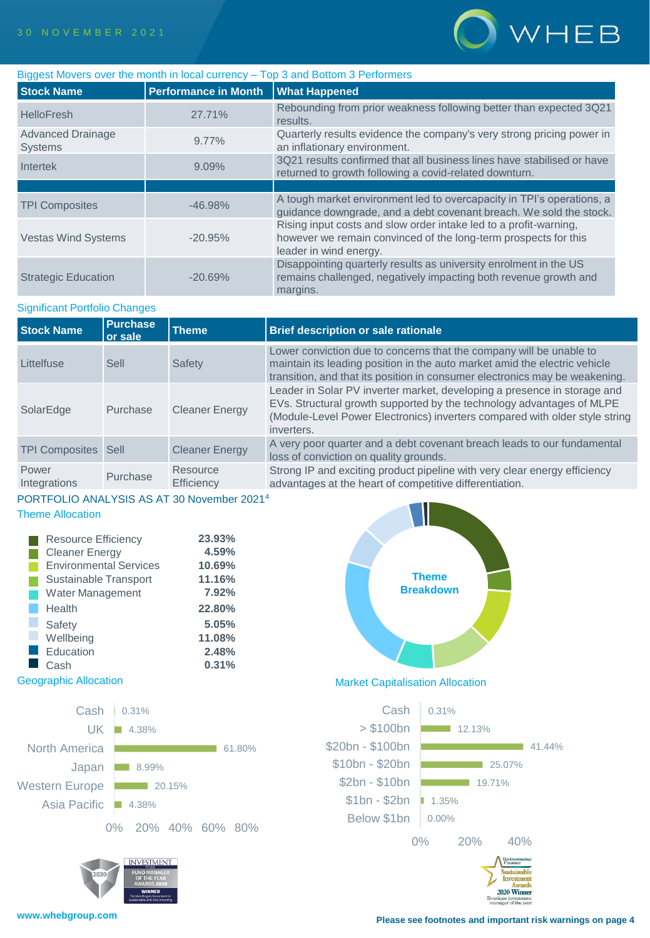

| Biggest Movers over the month in local currency - Top 3 and Bottom 3 Performers |                                      |                                                                                                                                                                |  |  |  |  |  |
|---------------------------------------------------------------------------------|--------------------------------------|----------------------------------------------------------------------------------------------------------------------------------------------------------------|--|--|--|--|--|
| <b>Stock Name</b>                                                               | Performance in Month   What Happened |                                                                                                                                                                |  |  |  |  |  |
| <b>HelloFresh</b>                                                               | 27.71%                               | Rebounding from prior weakness following better than expected 3Q21<br>results.                                                                                 |  |  |  |  |  |
| <b>Advanced Drainage</b><br><b>Systems</b>                                      | $9.77\%$                             | Quarterly results evidence the company's very strong pricing power in<br>an inflationary environment.                                                          |  |  |  |  |  |
| Intertek                                                                        | 9.09%                                | 3Q21 results confirmed that all business lines have stabilised or have<br>returned to growth following a covid-related downturn.                               |  |  |  |  |  |
|                                                                                 |                                      |                                                                                                                                                                |  |  |  |  |  |
| <b>TPI Composites</b>                                                           | $-46.98\%$                           | A tough market environment led to overcapacity in TPI's operations, a<br>guidance downgrade, and a debt covenant breach. We sold the stock.                    |  |  |  |  |  |
| <b>Vestas Wind Systems</b>                                                      | $-20.95%$                            | Rising input costs and slow order intake led to a profit-warning,<br>however we remain convinced of the long-term prospects for this<br>leader in wind energy. |  |  |  |  |  |
| <b>Strategic Education</b>                                                      | $-20.69%$                            | Disappointing quarterly results as university enrolment in the US<br>remains challenged, negatively impacting both revenue growth and<br>margins.              |  |  |  |  |  |

# Significant Portfolio Changes

| <b>Stock Name</b>     | <b>Purchase</b><br>or sale | <b>Theme</b>           | <b>Brief description or sale rationale</b>                                                                                                                                                                                                     |
|-----------------------|----------------------------|------------------------|------------------------------------------------------------------------------------------------------------------------------------------------------------------------------------------------------------------------------------------------|
| Littelfuse            | Sell                       | Safety                 | Lower conviction due to concerns that the company will be unable to<br>maintain its leading position in the auto market amid the electric vehicle<br>transition, and that its position in consumer electronics may be weakening.               |
| SolarEdge             | Purchase                   | <b>Cleaner Energy</b>  | Leader in Solar PV inverter market, developing a presence in storage and<br>EVs. Structural growth supported by the technology advantages of MLPE<br>(Module-Level Power Electronics) inverters compared with older style string<br>inverters. |
| <b>TPI Composites</b> | Sell                       | <b>Cleaner Energy</b>  | A very poor quarter and a debt covenant breach leads to our fundamental<br>loss of conviction on quality grounds.                                                                                                                              |
| Power<br>Integrations | Purchase                   | Resource<br>Efficiency | Strong IP and exciting product pipeline with very clear energy efficiency<br>advantages at the heart of competitive differentiation.                                                                                                           |

# PORTFOLIO ANALYSIS AS AT 30 November 2021<sup>4</sup>

# Theme Allocation

| <b>Resource Efficiency</b>    | 23.93% |
|-------------------------------|--------|
| <b>Cleaner Energy</b>         | 4.59%  |
| <b>Environmental Services</b> | 10.69% |
| Sustainable Transport         | 11.16% |
| <b>Water Management</b>       | 7.92%  |
| Health                        | 22.80% |
| Safety                        | 5.05%  |
| Wellbeing                     | 11.08% |
| Education                     | 2.48%  |
| Cash                          | 0.31%  |





Geographic Allocation **Market Capitalisation Allocation** 

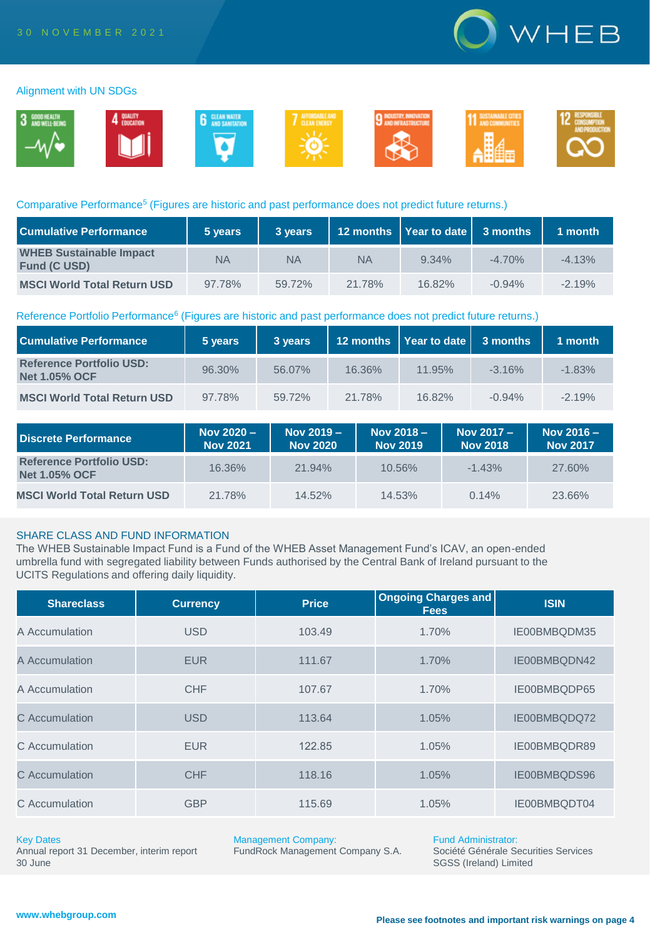

## Alignment with UN SDGs



## Comparative Performance<sup>5</sup> (Figures are historic and past performance does not predict future returns.)

| <b>Cumulative Performance</b>                         | 5 years | 3 years   |           | 12 months   Year to date   3 months |          | 1 month  |
|-------------------------------------------------------|---------|-----------|-----------|-------------------------------------|----------|----------|
| <b>WHEB Sustainable Impact</b><br><b>Fund (C USD)</b> | NA      | <b>NA</b> | <b>NA</b> | $9.34\%$                            | $-4.70%$ | $-4.13%$ |
| <b>MSCI World Total Return USD</b>                    | 97.78%  | 59.72%    | 21.78%    | 16.82%                              | $-0.94%$ | $-2.19%$ |

#### Reference Portfolio Performance<sup>6</sup> (Figures are historic and past performance does not predict future returns.)

| <b>Cumulative Performance</b>                           | 5 years | 3 years |        | 12 months   Year to date   3 months |          | $1$ month |
|---------------------------------------------------------|---------|---------|--------|-------------------------------------|----------|-----------|
| <b>Reference Portfolio USD:</b><br><b>Net 1.05% OCF</b> | 96.30%  | 56.07%  | 16.36% | 11.95%                              | $-3.16%$ | $-1.83%$  |
| <b>MSCI World Total Return USD</b>                      | 97.78%  | 59.72%  | 21.78% | 16.82%                              | $-0.94%$ | $-2.19%$  |

| Discrete Performance                                    | Nov $2020 -$<br><b>Nov 2021</b> | Nov $2019 -$<br><b>Nov 2020</b> | Nov $2018 -$<br><b>Nov 2019</b> | Nov 2017 -<br><b>Nov 2018</b> | Nov $2016 -$<br><b>Nov 2017</b> |
|---------------------------------------------------------|---------------------------------|---------------------------------|---------------------------------|-------------------------------|---------------------------------|
| <b>Reference Portfolio USD:</b><br><b>Net 1.05% OCF</b> | 16.36%                          | $21.94\%$                       | 10.56%                          | $-1.43%$                      | 27.60%                          |
| <b>MSCI World Total Return USD</b>                      | 21.78%                          | $14.52\%$                       | 14.53%                          | 0.14%                         | 23.66%                          |

# SHARE CLASS AND FUND INFORMATION

The WHEB Sustainable Impact Fund is a Fund of the WHEB Asset Management Fund's ICAV, an open-ended umbrella fund with segregated liability between Funds authorised by the Central Bank of Ireland pursuant to the UCITS Regulations and offering daily liquidity.

| <b>Shareclass</b> | <b>Currency</b> | <b>Price</b> | <b>Ongoing Charges and</b><br><b>Fees</b> | <b>ISIN</b>  |
|-------------------|-----------------|--------------|-------------------------------------------|--------------|
| A Accumulation    | <b>USD</b>      | 103.49       | 1.70%                                     | IE00BMBQDM35 |
| A Accumulation    | <b>EUR</b>      | 111.67       | 1.70%                                     | IE00BMBQDN42 |
| A Accumulation    | <b>CHF</b>      | 107.67       | 1.70%                                     | IE00BMBQDP65 |
| C Accumulation    | <b>USD</b>      | 113.64       | 1.05%                                     | IE00BMBQDQ72 |
| C Accumulation    | <b>EUR</b>      | 122.85       | 1.05%                                     | IE00BMBQDR89 |
| C Accumulation    | <b>CHF</b>      | 118.16       | 1.05%                                     | IE00BMBQDS96 |
| C Accumulation    | <b>GBP</b>      | 115.69       | 1.05%                                     | IE00BMBQDT04 |

#### Key Dates

Annual report 31 December, interim report 30 June

Management Company:

FundRock Management Company S.A.

Fund Administrator: Société Générale Securities Services SGSS (Ireland) Limited